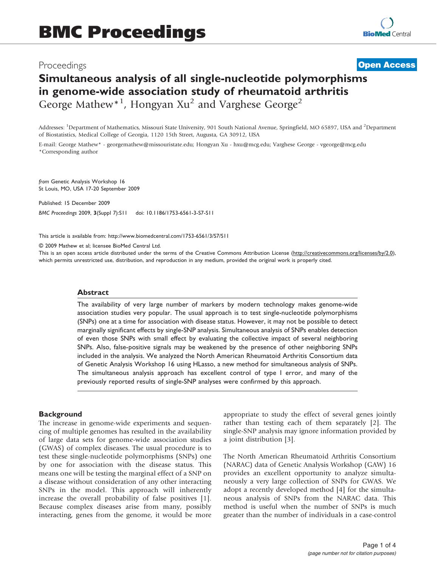## Proceedings

**[Open Access](http://www.biomedcentral.com/info/about/charter/)**

# Simultaneous analysis of all single-nucleotide polymorphisms in genome-wide association study of rheumatoid arthritis George Mathew<sup>\*1</sup>, Hongyan Xu<sup>2</sup> and Varghese George<sup>2</sup>

Addresses: <sup>1</sup>Department of Mathematics, Missouri State University, 901 South National Avenue, Springfield, MO 65897, USA and <sup>2</sup>Department of Biostatistics, Medical College of Georgia, 1120 15th Street, Augusta, GA 30912, USA

E-mail: George Mathew\* - [georgemathew@missouristate.edu](mailto:georgemathew@missouristate.edu); Hongyan Xu - [hxu@mcg.edu;](mailto:hxu@mcg.edu) Varghese George - [vgeorge@mcg.edu](mailto:vgeorge@mcg.edu) \*Corresponding author

from Genetic Analysis Workshop 16 St Louis, MO, USA 17-20 September 2009

Published: 15 December 2009 BMC Proceedings 2009, 3(Suppl 7):S11 doi: 10.1186/1753-6561-3-S7-S11

This article is available from: http://www.biomedcentral.com/1753-6561/3/S7/S11

© 2009 Mathew et al; licensee BioMed Central Ltd.

This is an open access article distributed under the terms of the Creative Commons Attribution License [\(http://creativecommons.org/licenses/by/2.0\)](http://creativecommons.org/licenses/by/2.0), which permits unrestricted use, distribution, and reproduction in any medium, provided the original work is properly cited.

#### Abstract

The availability of very large number of markers by modern technology makes genome-wide association studies very popular. The usual approach is to test single-nucleotide polymorphisms (SNPs) one at a time for association with disease status. However, it may not be possible to detect marginally significant effects by single-SNP analysis. Simultaneous analysis of SNPs enables detection of even those SNPs with small effect by evaluating the collective impact of several neighboring SNPs. Also, false-positive signals may be weakened by the presence of other neighboring SNPs included in the analysis. We analyzed the North American Rheumatoid Arthritis Consortium data of Genetic Analysis Workshop 16 using HLasso, a new method for simultaneous analysis of SNPs. The simultaneous analysis approach has excellent control of type I error, and many of the previously reported results of single-SNP analyses were confirmed by this approach.

#### **Background**

The increase in genome-wide experiments and sequencing of multiple genomes has resulted in the availability of large data sets for genome-wide association studies (GWAS) of complex diseases. The usual procedure is to test these single-nucleotide polymorphisms (SNPs) one by one for association with the disease status. This means one will be testing the marginal effect of a SNP on a disease without consideration of any other interacting SNPs in the model. This approach will inherently increase the overall probability of false positives [[1](#page-3-0)]. Because complex diseases arise from many, possibly interacting, genes from the genome, it would be more appropriate to study the effect of several genes jointly rather than testing each of them separately [\[2](#page-3-0)]. The single-SNP analysis may ignore information provided by a joint distribution [[3](#page-3-0)].

The North American Rheumatoid Arthritis Consortium (NARAC) data of Genetic Analysis Workshop (GAW) 16 provides an excellent opportunity to analyze simultaneously a very large collection of SNPs for GWAS. We adopt a recently developed method [\[4\]](#page-3-0) for the simultaneous analysis of SNPs from the NARAC data. This method is useful when the number of SNPs is much greater than the number of individuals in a case-control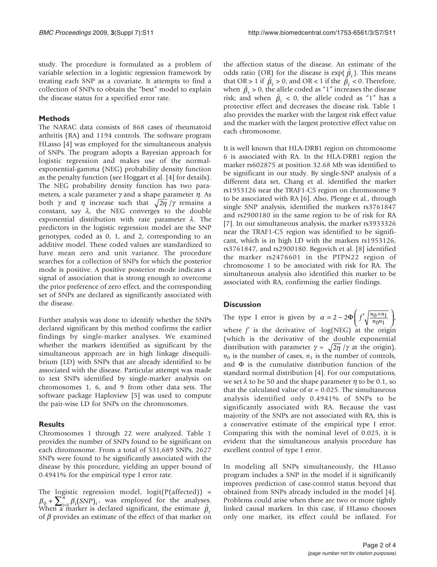study. The procedure is formulated as a problem of variable selection in a logistic regression framework by treating each SNP as a covariate. It attempts to find a collection of SNPs to obtain the "best" model to explain the disease status for a specified error rate.

### Methods

The NARAC data consists of 868 cases of rheumatoid arthritis (RA) and 1194 controls. The software program HLasso [[4](#page-3-0)] was employed for the simultaneous analysis of SNPs. The program adopts a Bayesian approach for logistic regression and makes use of the normalexponential-gamma (NEG) probability density function as the penalty function (see Hoggart et al. [[4\]](#page-3-0) for details). The NEG probability density function has two parameters, a scale parameter  $\gamma$  and a shape parameter  $\eta$ . As both  $\gamma$  and  $\eta$  increase such that  $\sqrt{2\eta}/\gamma$  remains a constant, say  $\lambda$ , the NEG converges to the double exponential distribution with rate parameter  $\lambda$ . The predictors in the logistic regression model are the SNP genotypes, coded as 0, 1, and 2, corresponding to an additive model. These coded values are standardized to have mean zero and unit variance. The procedure searches for a collection of SNPs for which the posterior mode is positive. A positive posterior mode indicates a signal of association that is strong enough to overcome the prior preference of zero effect, and the corresponding set of SNPs are declared as significantly associated with the disease.

Further analysis was done to identify whether the SNPs declared significant by this method confirms the earlier findings by single-marker analyses. We examined whether the markers identified as significant by the simultaneous approach are in high linkage disequilibrium (LD) with SNPs that are already identified to be associated with the disease. Particular attempt was made to test SNPs identified by single-marker analysis on chromosomes 1, 6, and 9 from other data sets. The software package Haploview [[5](#page-3-0)] was used to compute the pair-wise LD for SNPs on the chromosomes.

## **Results**

Chromosomes 1 through 22 were analyzed. Table [1](#page-2-0) provides the number of SNPs found to be significant on each chromosome. From a total of 531,689 SNPs, 2627 SNPs were found to be significantly associated with the disease by this procedure, yielding an upper bound of 0.4941% for the empirical type I error rate.

The logistic regression model, logit(P(affected)) =  $\beta_0 + \sum_{i=1}^n \beta_i (SNP)_i$ , was employed for the analyses. When a marker is declared significant, the estimate  $\hat{\beta}_i$ of  $\beta$  provides an estimate of the effect of that marker on the affection status of the disease. An estimate of the odds ratio (OR) for the disease is  $\exp(\hat{\beta}_i)$ . This means that OR > 1 if  $\hat{\beta}_i$  > 0, and OR < 1 if the  $\hat{\beta}_i$  < 0. Therefore, when  $\hat{\beta}_i > 0$ , the allele coded as "1" increases the disease risk; and when  $\hat{\beta}_i < 0$ , the allele coded as "1" has a protective effect and decreases the disease risk. Table [1](#page-2-0) also provides the marker with the largest risk effect value and the marker with the largest protective effect value on each chromosome.

It is well known that HLA-DRB1 region on chromosome 6 is associated with RA. In the HLA-DRB1 region the marker rs602875 at position 32.68 Mb was identified to be significant in our study. By single-SNP analysis of a different data set, Chang et al. identified the marker rs1953126 near the TRAF1-C5 region on chromosome 9 to be associated with RA [\[6\]](#page-3-0). Also, Plenge et al., through single SNP analysis, identified the markers rs3761847 and rs2900180 in the same region to be of risk for RA [[7](#page-3-0)]. In our simultaneous analysis, the marker rs3933326 near the TRAF1-C5 region was identified to be significant, which is in high LD with the markers rs1953126, rs3761847, and rs2900180. Begovich et al. [\[8\]](#page-3-0) identified the marker rs2476601 in the PTPN22 region of chromosome 1 to be associated with risk for RA. The simultaneous analysis also identified this marker to be associated with RA, confirming the earlier findings.

## **Discussion**

The type I error is given by  $\alpha = 2 - 2\Phi \left( f' \sqrt{\frac{n_0 + n_1}{n_0 n_1}} \right)$ where  $f'$  is the derivative of -log(NEG) at the origin (which is the derivative of the double exponential distribution with parameter  $\gamma = \sqrt{2\eta/\gamma}$  at the origin),  $n_0$  is the number of cases,  $n_1$  is the number of controls, and  $\Phi$  is the cumulative distribution function of the standard normal distribution [[4](#page-3-0)]. For our computations, we set  $\lambda$  to be 50 and the shape parameter  $\eta$  to be 0.1, so that the calculated value of  $\alpha$  = 0.025. The simultaneous analysis identified only 0.4941% of SNPs to be significantly associated with RA. Because the vast majority of the SNPs are not associated with RA, this is a conservative estimate of the empirical type I error. Comparing this with the nominal level of 0.025, it is evident that the simultaneous analysis procedure has excellent control of type I error.

In modeling all SNPs simultaneously, the HLasso program includes a SNP in the model if it significantly improves prediction of case-control status beyond that obtained from SNPs already included in the model [[4](#page-3-0)]. Problems could arise when there are two or more tightly linked causal markers. In this case, if HLasso chooses only one marker, its effect could be inflated. For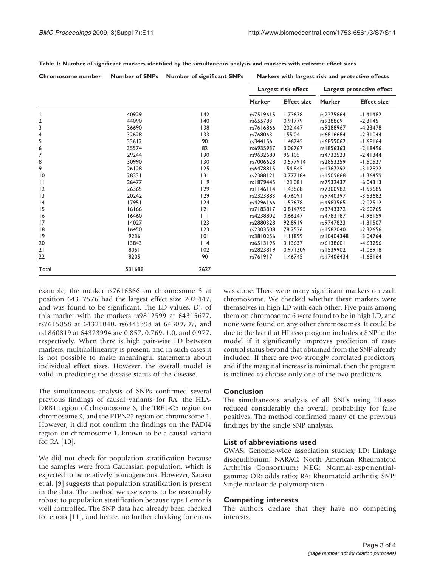| Chromosome number | <b>Number of SNPs</b> | <b>Number of significant SNPs</b> | Markers with largest risk and protective effects |                    |                           |                    |
|-------------------|-----------------------|-----------------------------------|--------------------------------------------------|--------------------|---------------------------|--------------------|
|                   |                       |                                   | Largest risk effect                              |                    | Largest protective effect |                    |
|                   |                       |                                   | <b>Marker</b>                                    | <b>Effect size</b> | <b>Marker</b>             | <b>Effect size</b> |
|                   | 40929                 | 142                               | rs7519615                                        | 1.73638            | rs2275864                 | $-1.41482$         |
| 2                 | 44090                 | 140                               | rs655783                                         | 0.91779            | rs938869                  | $-2.3145$          |
| 3                 | 36690                 | 138                               | rs7616866                                        | 202.447            | rs9288967                 | $-4.23478$         |
| 4                 | 32628                 | 133                               | rs768063                                         | 155.04             | rs6816684                 | $-2.31044$         |
| 5                 | 33612                 | 90                                | rs344156                                         | 1.46745            | rs6899062                 | $-1.68164$         |
| 6                 | 35574                 | 82                                | rs6935937                                        | 3.06767            | rs1856363                 | $-2.18496$         |
| 7                 | 29244                 | 130                               | rs9632680                                        | 96.105             | rs4732523                 | $-2.41344$         |
| 8                 | 30990                 | 130                               | rs7006628                                        | 0.577914           | rs2853259                 | $-1.50527$         |
| 9                 | 26128                 | 125                               | rs6478815                                        | 154.845            | rs1387292                 | $-3.12822$         |
| $\overline{10}$   | 28331                 | 3                                 | rs2388121                                        | 0.777184           | rs1909668                 | $-1.36459$         |
| $\mathbf{1}$      | 26477                 | 119                               | rs1879445                                        | 123.081            | rs7932437                 | $-6.04313$         |
| 12                | 26365                 | 129                               | rs1146114                                        | 1.43868            | rs7300982                 | $-1.59685$         |
| 3                 | 20242                 | 129                               | rs2323883                                        | 4.76091            | rs9740397                 | $-3.53682$         |
| 4                 | 17951                 | 124                               | rs4296166                                        | 1.53678            | rs4983565                 | $-2.02512$         |
| 15                | 16166                 | 2                                 | rs7183817                                        | 0.814795           | rs3743372                 | $-2.60765$         |
| 16                | 16460                 | $\mathbf{H}$                      | rs4238802                                        | 0.66247            | rs4783187                 | $-1.98159$         |
| 17                | 14027                 | 123                               | rs2880328                                        | 92.8919            | rs9747823                 | $-1.31507$         |
| 8                 | 16450                 | 123                               | rs2303508                                        | 78.2526            | rs1982040                 | $-2.32656$         |
| 9                 | 9236                  | 0                                 | rs3810256                                        | 1.11899            | rs10404348                | $-3.04764$         |
| 20                | 13843                 | 114                               | rs6513195                                        | 3.13637            | rs6138601                 | $-4.63256$         |
| 21                | 8051                  | 102                               | rs2823819                                        | 0.971309           | rs1539902                 | $-1.08918$         |
| 22                | 8205                  | 90                                | rs761917                                         | I.46745            | rs17406434                | $-1.68164$         |
| Total             | 531689                | 2627                              |                                                  |                    |                           |                    |

<span id="page-2-0"></span>Table 1: Number of significant markers identified by the simultaneous analysis and markers with extreme effect sizes

example, the marker rs7616866 on chromosome 3 at position 64317576 had the largest effect size 202.447, and was found to be significant. The LD values, D', of this marker with the markers rs9812599 at 64315677, rs7615058 at 64321040, rs6445398 at 64309797, and rs1860819 at 64323994 are 0.857, 0.769, 1.0, and 0.977, respectively. When there is high pair-wise LD between markers, multicollinearity is present, and in such cases it is not possible to make meaningful statements about individual effect sizes. However, the overall model is valid in predicting the disease status of the disease.

The simultaneous analysis of SNPs confirmed several previous findings of causal variants for RA: the HLA-DRB1 region of chromosome 6, the TRF1-C5 region on chromosome 9, and the PTPN22 region on chromosome 1. However, it did not confirm the findings on the PADI4 region on chromosome 1, known to be a causal variant for RA [[10\]](#page-3-0).

We did not check for population stratification because the samples were from Caucasian population, which is expected to be relatively homogeneous. However, Sarasu et al. [[9](#page-3-0)] suggests that population stratification is present in the data. The method we use seems to be reasonably robust to population stratification because type I error is well controlled. The SNP data had already been checked for errors [\[11](#page-3-0)], and hence, no further checking for errors

was done. There were many significant markers on each chromosome. We checked whether these markers were themselves in high LD with each other. Five pairs among them on chromosome 6 were found to be in high LD, and none were found on any other chromosomes. It could be due to the fact that HLasso program includes a SNP in the model if it significantly improves prediction of casecontrol status beyond that obtained from the SNP already included. If there are two strongly correlated predictors, and if the marginal increase is minimal, then the program is inclined to choose only one of the two predictors.

#### Conclusion

The simultaneous analysis of all SNPs using HLasso reduced considerably the overall probability for false positives. The method confirmed many of the previous findings by the single-SNP analysis.

#### List of abbreviations used

GWAS: Genome-wide association studies; LD: Linkage disequilibrium; NARAC: North American Rheumatoid Arthritis Consortium; NEG: Normal-exponentialgamma; OR: odds ratio; RA: Rheumatoid arthritis; SNP: Single-nucleotide polymorphism.

#### Competing interests

The authors declare that they have no competing interests.